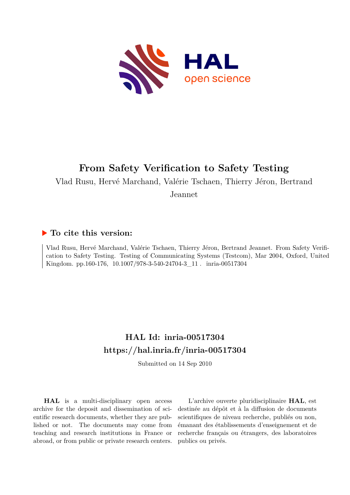

# **From Safety Verification to Safety Testing**

Vlad Rusu, Hervé Marchand, Valérie Tschaen, Thierry Jéron, Bertrand

Jeannet

## **To cite this version:**

Vlad Rusu, Hervé Marchand, Valérie Tschaen, Thierry Jéron, Bertrand Jeannet. From Safety Verification to Safety Testing. Testing of Communicating Systems (Testcom), Mar 2004, Oxford, United Kingdom. pp.160-176,  $10.1007/978-3-540-24704-3\_11$ . inria-00517304

## **HAL Id: inria-00517304 <https://hal.inria.fr/inria-00517304>**

Submitted on 14 Sep 2010

**HAL** is a multi-disciplinary open access archive for the deposit and dissemination of scientific research documents, whether they are published or not. The documents may come from teaching and research institutions in France or abroad, or from public or private research centers.

L'archive ouverte pluridisciplinaire **HAL**, est destinée au dépôt et à la diffusion de documents scientifiques de niveau recherche, publiés ou non, émanant des établissements d'enseignement et de recherche français ou étrangers, des laboratoires publics ou privés.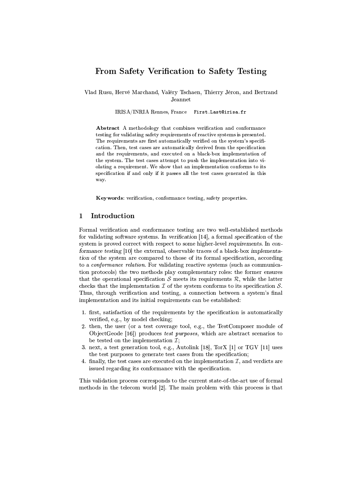### From Safety Verification to Safety Testing

Vlad Rusu, Hervé Marchand, Valéry Tschaen, Thierry Jéron, and Bertrand Jeannet

> IRISA/INRIA Rennes, France First.Last@irisa.fr

**Abstract** A methodology that combines verification and conformance testing for validating safety requirements of reactive systems is presented. The requirements are first automatically verified on the system's specification. Then, test cases are automatically derived from the specification and the requirements, and executed on a black-box implementation of the system. The test cases attempt to push the implementation into violating a requirement. We show that an implementation conforms to its specification if and only if it passes all the test cases generated in this way.

Keywords: verification. conformance testing. safety properties.

#### Introduction  $\mathbf{1}$

Formal verification and conformance testing are two well-established methods for validating software systems. In verification [14], a formal specification of the system is proved correct with respect to some higher-level requirements. In conformance testing [10] the external, observable traces of a black-box implementation of the system are compared to those of its formal specification, according to a *conformance relation*. For validating reactive systems (such as communication protocols) the two methods play complementary roles: the former ensures that the operational specification  $S$  meets its requirements  $R$ , while the latter checks that the implementation  $\mathcal I$  of the system conforms to its specification  $\mathcal S$ . Thus, through verification and testing, a connection between a system's final implementation and its initial requirements can be established:

- 1. first, satisfaction of the requirements by the specification is automatically verified, e.g., by model checking;
- 2. then, the user (or a test coverage tool, e.g., the TestComposer module of ObjectGeode [16]) produces test purposes, which are abstract scenarios to be tested on the implementation  $\mathcal{I}$ ;
- 3. next, a test generation tool, e.g., Autolink [18], TorX [1] or TGV [11] uses the test purposes to generate test cases from the specification;
- 4. finally, the test cases are executed on the implementation  $\mathcal{I}$ , and verdicts are issued regarding its conformance with the specification.

This validation process corresponds to the current state-of-the-art use of formal methods in the telecom world [2]. The main problem with this process is that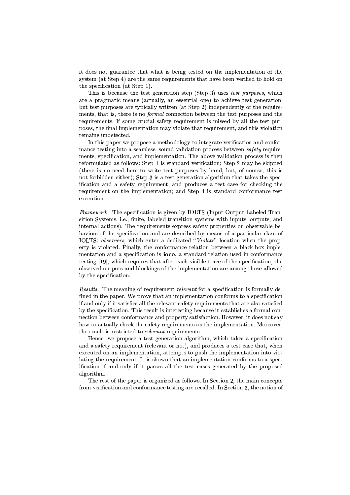it does not guarantee that what is being tested on the implementation of the system (at Step 4) are the same requirements that have been verified to hold on the specification (at Step 1).

This is because the test generation step (Step 3) uses test purposes, which are a pragmatic means (actually, an essential one) to achieve test generation; but test purposes are typically written (at Step 2) independently of the requirements, that is, there is no *formal* connection between the test purposes and the requirements. If some crucial safety requirement is missed by all the test purposes, the final implementation may violate that requirement, and this violation remains undetected.

In this paper we propose a methodology to integrate verification and conformance testing into a seamless, sound validation process between *safety* requirements, specification, and implementation. The above validation process is then reformulated as follows: Step 1 is standard verification; Step 2 may be skipped (there is no need here to write test purposes by hand, but, of course, this is not forbidden either); Step 3 is a test generation algorithm that takes the specification and a safety requirement, and produces a test case for checking the requirement on the implementation; and Step 4 is standard conformance test execution.

Framework. The specification is given by IOLTS (Input-Output Labeled Transition Systems, *i.e.*, finite, labeled transition systems with inputs, outputs, and internal actions). The requirements express safety properties on observable behaviors of the specification and are described by means of a particular class of IOLTS: observers, which enter a dedicated "Violate" location when the property is violated. Finally, the conformance relation between a black-box implementation and a specification is **ioco**, a standard relation used in conformance testing [19], which requires that after each visible trace of the specification, the observed outputs and blockings of the implementation are among those allowed by the specification.

Results. The meaning of requirement relevant for a specification is formally defined in the paper. We prove that an implementation conforms to a specification if and only if it satisfies all the relevant safety requirements that are also satisfied by the specification. This result is interesting because it establishes a formal connection between conformance and property satisfaction. However, it does not say how to actually check the safety requirements on the implementation. Moreover, the result is restricted to *relevant* requirements.

Hence, we propose a test generation algorithm, which takes a specification and a safety requirement (relevant or not), and produces a test case that, when executed on an implementation, attempts to push the implementation into violating the requirement. It is shown that an implementation conforms to a specification if and only if it passes all the test cases generated by the proposed algorithm.

The rest of the paper is organized as follows. In Section 2, the main concepts from verification and conformance testing are recalled. In Section 3, the notion of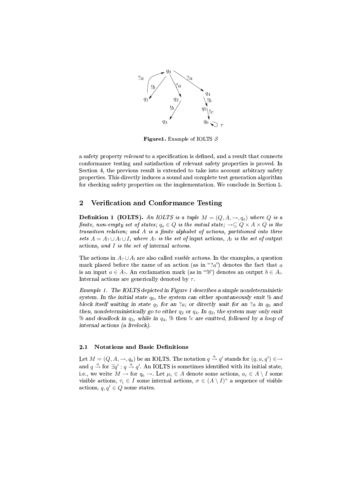

**Figure1.** Example of IOLTS  $S$ 

a safety property relevant to a specification is defined, and a result that connects conformance testing and satisfaction of relevant safety properties is proved. In Section 4, the previous result is extended to take into account arbitrary safety properties. This directly induces a sound and complete test generation algorithm for checking safety properties on the implementation. We conclude in Section 5.

#### Verification and Conformance Testing  $\overline{2}$

**Definition 1 (IOLTS).** An IOLTS is a tuple  $M = (Q, A, \rightarrow, q_o)$  where Q is a finite, non-empty set of states;  $q_o \in Q$  is the initial state;  $\rightarrow \subseteq Q \times A \times Q$  is the transition relation; and A is a finite alphabet of actions, partitioned into three sets  $A = A_2 \cup A_1 \cup I$ , where  $A_2$  is the set of input actions,  $A_1$  is the set of output actions, and I is the set of internal actions.

The actions in  $A_2 \cup A_1$  are also called *visible actions*. In the examples, a question mark placed before the name of an action (as in "?a") denotes the fact that a is an input  $a \in A_?$ . An exclamation mark (as in "lb") denotes an output  $b \in A_!$ . Internal actions are generically denoted by  $\tau$ .

*Example 1.* The IOLTS depicted in Figure 1 describes a simple nondeterministic system. In the initial state  $q_0$ , the system can either spontaneously emit !b and block itself waiting in state  $q_1$  for an ?a; or directly wait for an ?a in  $q_0$  and then, nondeterministically go to either  $q_2$  or  $q_4$ . In  $q_2$ , the system may only emit !b and deadlock in  $q_3$ , while in  $q_4$ , !b then !c are emitted, followed by a loop of internal actions (a livelock).

#### $2.1$ **Notations and Basic Definitions**

Let  $M = (Q, A, \rightarrow, q_0)$  be an IOLTS. The notation  $q \stackrel{a}{\rightarrow} q'$  stands for  $(q, a, q') \in \rightarrow$ and  $q \stackrel{a}{\rightarrow}$  for  $\exists q' : q \stackrel{a}{\rightarrow} q'$ . An IOLTS is sometimes identified with its initial state, i.e., we write  $M \to \text{for } q_0 \to \text{Let } \mu_i \in A$  denote some actions,  $a_i \in A \setminus I$  some visible actions,  $\tau_i \in I$  some internal actions,  $\sigma \in (A \setminus I)^*$  a sequence of visible actions,  $q, q' \in Q$  some states.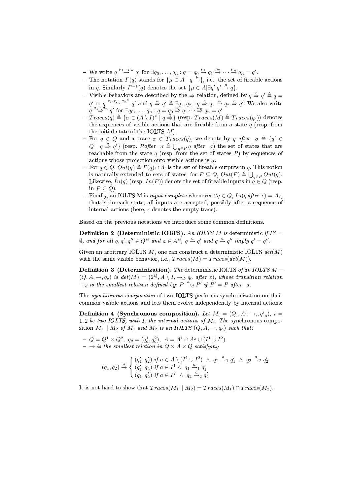- 
- We write  $q^{\mu_1} \stackrel{\ldots \mu_n}{\rightarrow} q'$  for  $\exists q_0, \ldots, q_n : q = q_0 \stackrel{\mu_1}{\rightarrow} q_1 \stackrel{\mu_2}{\rightarrow} \cdots \stackrel{\mu_n}{\rightarrow} q_n = q'.$ <br>- The notation  $\Gamma(q)$  stands for  $\{\mu \in A \mid q \stackrel{\mu}{\rightarrow}\},$  i.e., the set of fireable actions in q. Similarly  $\Gamma^{-1}(q)$  denotes the set  $\{\mu \in A | \exists q'. q' \stackrel{\mu}{\rightarrow} q\}.$
- Visible behaviors are described by the  $\Rightarrow$  relation, defined by  $q \stackrel{\epsilon}{\Rightarrow} q' \stackrel{\epsilon}{=} q =$  $q'$  or  $q^{r_1 \cdot r_2 \cdot \cdot \cdot r_n * q'}$  and  $q \stackrel{a}{\Rightarrow} q' \stackrel{c}{\triangleq} \exists q_1, q_2 : q \stackrel{\varepsilon}{\Rightarrow} q_1 \stackrel{a}{\to} q_2 \stackrel{\varepsilon}{\Rightarrow} q'$ . We also write<br>  $q^{a_1 \cdot \cdot \cdot a_n} q'$  for  $\exists q_0, \ldots, q_n : q = q_0 \stackrel{a}{\Rightarrow} q_1 \cdots \stackrel{a}{\Rightarrow} q_n = q'$ <br>  $- Traces(q) \stackrel{\Delta}{=} \{\sigma \in (A$
- the sequences of visible actions that are fireable from a state  $q$  (resp. from the initial state of the IOLTS  $M$ ).
- For  $q \in Q$  and a trace  $\sigma \in Traces(q)$ , we denote by q after  $\sigma \triangleq \{q' \in Q\}$  $Q \mid q \stackrel{\sigma}{\Rightarrow} q'$  (resp. *Pafter*  $\sigma \triangleq \bigcup_{q \in P} q$  *after*  $\sigma$ ) the set of states that are reachable from the state q (resp. from the set of states P) by sequences of actions whose projection onto visible actions is  $\sigma$ .
- For  $q \in Q$ ,  $Out(q) \triangleq \Gamma(q) \cap A_1$  is the set of fireable outputs in q. This notion is naturally extended to sets of states: for  $P \subseteq Q$ ,  $Out(P) \triangleq \bigcup_{q \in P} Out(q)$ . Likewise,  $In(q)$  (resp.  $In(P)$ ) denote the set of fireable inputs in  $q \in Q$  (resp. in  $P \subseteq Q$ ).
- Finally, an IOLTS M is *input-complete* whenever  $\forall q \in Q$ ,  $In(q$  after  $\epsilon) = A_?$ , that is, in each state, all inputs are accepted, possibly after a sequence of internal actions (here,  $\epsilon$  denotes the empty trace).

Based on the previous notations we introduce some common definitions.

**Definition 2 (Deterministic IOLTS).** An IOLTS M is deterministic if  $I^M$  =  $\emptyset$ , and for all  $q, q', q'' \in Q^M$  and  $a \in A^M$ ,  $q \stackrel{a}{\rightarrow} q'$  and  $q \stackrel{a}{\rightarrow} q''$  imply  $q' = q''$ .

Given an arbitrary IOLTS  $M$ , one can construct a deterministic IOLTS  $det(M)$ with the same visible behavior, i.e.,  $Trace(M) = Trace(det(M)).$ 

**Definition 3** (Determinization). The deterministic IOLTS of an IOLTS  $M =$  $(Q, A, \rightarrow, q_o)$  is  $det(M) = (2^Q, A \setminus I, \rightarrow_d, q_o$  after  $\varepsilon)$ , whose transition relation  $\rightarrow_d$  is the smallest relation defined by:  $P \stackrel{a}{\rightarrow}_d P'$  if  $P' = P$  after a.

The synchronous composition of two IOLTS performs synchronization on their common visible actions and lets them evolve independently by internal actions:

**Definition 4 (Synchronous composition).** Let  $M_i = (Q_i, A^i, \rightarrow_i, q^i, a)$ ,  $i =$ 1,2 be two IOLTS, with  $I_i$  the internal actions of  $M_i$ . The synchronous composition  $M_1 \parallel M_2$  of  $M_1$  and  $M_2$  is an IOLTS  $(Q, A, \rightarrow, q_0)$  such that:

$$
-Q = Q^1 \times Q^2, q_o = (q_o^1, q_o^2), A = A^1 \cap A^2 \cup (I^1 \cup I^2)
$$
  

$$
- \rightarrow
$$
 is the smallest relation in  $Q \times A \times Q$  satisfying

$$
(q_1, q_2) \stackrel{a}{\rightarrow} \begin{cases} (q'_1, q'_2) & \text{if } a \in A \setminus (I^1 \cup I^2) \ \wedge \ q_1 \stackrel{a}{\rightarrow}_1 q'_1 \ \wedge \ q_2 \stackrel{a}{\rightarrow}_2 q'_2 \\ (q'_1, q'_2) & \text{if } a \in I^1 \ \wedge \ q_1 \stackrel{a}{\rightarrow}_1 q'_1 \\ q_2 \stackrel{a}{\rightarrow}_2 q'_2 \end{cases}
$$

It is not hard to show that  $Trace(M_1 || M_2) = Trace(M_1) \cap Trace(M_2)$ .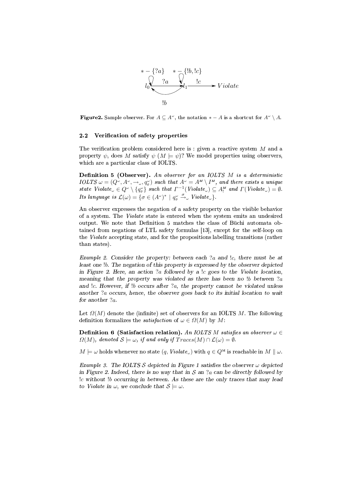

**Figure2.** Sample observer. For  $A \subseteq A^{\omega}$ , the notation  $* - A$  is a shortcut for  $A^{\omega} \setminus A$ .

#### Verification of safety properties  $2.2$

The verification problem considered here is: given a reactive system  $M$  and a property  $\psi$ , does M satisfy  $\psi$  (M  $\models \psi$ )? We model properties using observers, which are a particular class of IOLTS.

**Definition 5 (Observer).** An observer for an IOLTS M is a deterministic  $\overline{IOLTS} \omega = (Q^{\omega}, A^{\omega}, \rightarrow_{\omega}, q^{\omega}_{o})$  such that  $A^{\omega} = A^{\omega} \setminus I^{\omega}$ , and there exists a unique state  $\overline{Violate_{\omega}} \in Q^{\omega} \setminus \{q^{\omega}_{o}\}$  such that  $\Gamma^{-1}(Violate_{\omega}) \subseteq A^{\omega}_{\perp}$  and  $\Gamma(\overline{Violate_{\omega}}) = \emptyset$ . Its language is  $\mathcal{L}(\omega) = {\sigma \in (A^{\omega})^* | q_0^{\omega}} {\xrightarrow{\sigma}}_{\omega} \text{ Violate}_{\omega}.$ 

An observer expresses the negation of a safety property on the visible behavior of a system. The *Violate* state is entered when the system emits an undesired output. We note that Definition 5 matches the class of Büchi automata obtained from negations of LTL safety formulas [13], except for the self-loop on the *Violate* accepting state, and for the propositions labelling transitions (rather than states).

*Example 2.* Consider the property: between each  $2a$  and  $1c$ , there must be at least one !b. The negation of this property is expressed by the observer depicted in Figure 2. Here, an action  $a$  followed by a  $c$  goes to the Violate location, meaning that the property was violated as there has been no 1b between ?a and  $\lfloor c$ . However, if  $\lfloor b \rfloor$  occurs after  $2a$ , the property cannot be violated unless another ?a occurs, hence, the observer goes back to its initial location to wait for another  $?a$ .

Let  $\Omega(M)$  denote the (infinite) set of observers for an IOLTS M. The following definition formalizes the *satisfaction* of  $\omega \in \Omega(M)$  by M:

**Definition 6 (Satisfaction relation).** An IOLTS M satisfies an observer  $\omega \in$  $\Omega(M)$ , denoted  $S \models \omega$ , if and only if  $Trace(S(M) \cap \mathcal{L}(\omega) = \emptyset$ .

 $M \models \omega$  holds whenever no state  $(q, Violate_{\omega})$  with  $q \in Q^M$  is reachable in  $M \parallel \omega$ .

*Example 3.* The IOLTS S depicted in Figure 1 satisfies the observer  $\omega$  depicted in Figure 2. Indeed, there is no way that in  $S$  an ?a can be directly followed by !c without !b occurring in between. As these are the only traces that may lead to Violate in  $\omega$ , we conclude that  $S \models \omega$ .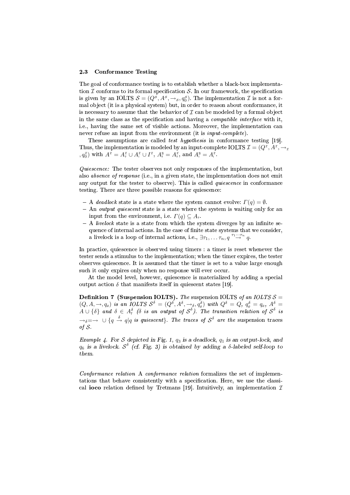#### $2.3$ **Conformance Testing**

The goal of conformance testing is to establish whether a black-box implementation  $\mathcal I$  conforms to its formal specification  $\mathcal S$ . In our framework, the specification is given by an IOLTS  $S = (Q^s, A^s, \rightarrow_s, q_0^s)$ . The implementation  $\mathcal I$  is not a formal object (it is a physical system) but, in order to reason about conformance, it is necessary to assume that the behavior of  $\mathcal I$  can be modeled by a formal object in the same class as the specification and having a *compatible interface* with it, i.e., having the same set of visible actions. Moreover, the implementation can never refuse an input from the environment (it is *input-complete*).

These assumptions are called *test hypothesis* in conformance testing [19]. Thus, the implementation is modeled by an input-complete IOLTS  $\mathcal{I} = (Q^{\mathcal{I}}, A^{\mathcal{I}}, \rightarrow_{\mathcal{I}})$  $(a_0^{\mathcal{I}})$  with  $A^{\mathcal{I}} = A^{\mathcal{I}}_1 \cup A^{\mathcal{I}}_1 \cup I^{\mathcal{I}}$ ,  $A^{\mathcal{S}}_2 = A^{\mathcal{I}}_2$ , and  $A^{\mathcal{S}}_1 = A^{\mathcal{I}}_1$ .

Quiescence: The tester observes not only responses of the implementation, but also *absence of response* (i.e., in a given state, the implementation does not emit any output for the tester to observe). This is called *quiescence* in conformance testing. There are three possible reasons for quiescence:

- A *deadlock* state is a state where the system cannot evolve:  $\Gamma(q) = \emptyset$ .
- $-$  An *output quiescent* state is a state where the system is waiting only for an input from the environment, i.e.  $\Gamma(q) \subseteq A_2$ .
- $-$  A *livelock* state is a state from which the system diverges by an infinite sequence of internal actions. In the case of finite state systems that we consider, a livelock is a loop of internal actions, i.e.,  $\exists \tau_1, \ldots, \tau_n, q \stackrel{\tau_1, \ldots, \tau_n}{\rightarrow} q$ .

In practice, quiescence is observed using timers : a timer is reset whenever the tester sends a stimulus to the implementation; when the timer expires, the tester observes quiescence. It is assumed that the timer is set to a value large enough such it only expires only when no response will ever occur.

At the model level, however, quiescence is materialized by adding a special output action  $\delta$  that manifests itself in quiescent states [19].

**Definition 7 (Suspension IOLTS).** The suspension IOLTS of an IOLTS  $S =$  $(Q, A, \rightarrow, q_o)$  is an IOLTS  $S^{\delta} = (Q^{\delta}, A^{\delta}, \rightarrow_{\delta}, q_o^{\delta})$  with  $Q^{\delta} = Q$ ,  $q_o^{\delta} = q_o$ ,  $A^{\delta} = A \cup {\delta}$  and  $\delta \in A^{\delta}$  ( $\delta$  is an output of  $S^{\delta}$ ). The transition relation of  $S^{\delta}$  is  $\rightarrow_{\delta} \rightarrow \cup \{q \stackrel{\delta}{\rightarrow} q | q \text{ is quiescent}\}.$  The traces of  $S^{\delta}$  are the suspension traces of  $S$ .

*Example 4.* For S depicted in Fig. 1,  $q_3$  is a deadlock,  $q_1$  is an output-lock, and  $q_6$  is a livelock.  $S^{\delta}$  (cf. Fig. 3) is obtained by adding a  $\delta$ -labeled self-loop to them.

Conformance relation A conformance relation formalizes the set of implementations that behave consistently with a specification. Here, we use the classical ioco relation defined by Tretmans [19]. Intuitively, an implementation  $\mathcal I$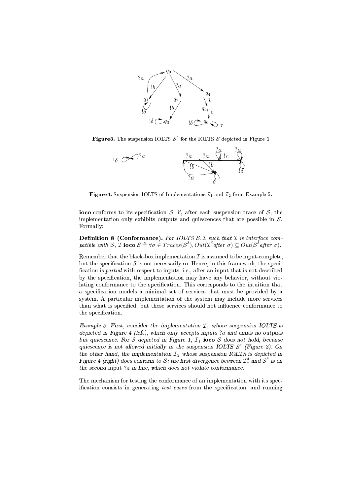

**Figure 3.** The suspension IOLTS  $S^{\delta}$  for the IOLTS S depicted in Figure 1



Figure 4. Suspension IOLTS of Implementations  $\mathcal{I}_1$  and  $\mathcal{I}_2$  from Example 5.

ioco-conforms to its specification  $S$ , if, after each suspension trace of  $S$ , the implementation only exhibits outputs and quiescences that are possible in  $S$ . Formally:

**Definition 8 (Conformance).** For IOLTS  $S$ ,  $I$  such that  $I$  is interface compatible with S, I ioco  $S \triangleq \forall \sigma \in Traces(S^{\delta}), Out(\mathcal{I}^{\delta}$  after  $\sigma) \subseteq Out(S^{\delta}$  after  $\sigma)$ .

Remember that the black-box implementation  $\mathcal I$  is assumed to be input-complete, but the specification S is not necessarily so. Hence, in this framework, the specification is *partial* with respect to inputs, i.e., after an input that is not described by the specification, the implementation may have any behavior, without violating conformance to the specification. This corresponds to the intuition that a specification models a minimal set of services that must be provided by a system. A particular implementation of the system may include more services than what is specified, but these services should not influence conformance to the specification.

*Example 5.* First, consider the implementation  $\mathcal{I}_1$  whose suspension IOLTS is depicted in Figure 4 (left), which only accepts inputs  $2a$  and emits no outputs but quiescence. For S depicted in Figure 1,  $\mathcal{I}_1$  ioco S does not hold, because quiescence is not allowed initially in the suspension IOLTS  $S^{\delta}$  (Figure 3). On the other hand, the implementation  $\mathcal{I}_2$  whose suspension IOLTS is depicted in Figure 4 (right) does conform to S: the first divergence between  $\mathcal{I}_2^{\delta}$  and  $\mathcal{S}^{\delta}$  is on the second input  $a$  in line, which does not violate conformance.

The mechanism for testing the conformance of an implementation with its specification consists in generating test cases from the specification, and running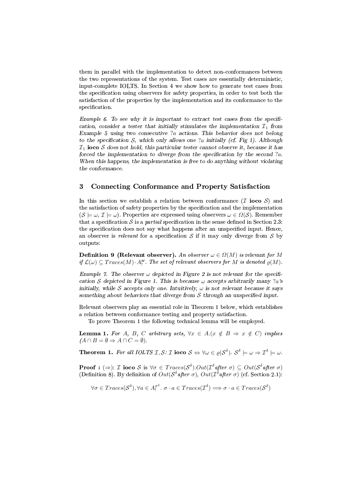them in parallel with the implementation to detect non-conformances between the two representations of the system. Test cases are essentially deterministic, input-complete IOLTS. In Section 4 we show how to generate test cases from the specification using observers for safety properties, in order to test both the satisfaction of the properties by the implementation and its conformance to the specification.

*Example 6.* To see why it is important to extract test cases from the specification, consider a tester that initially stimulates the implementation  $\mathcal{I}_1$  from Example 5 using two consecutive ? a actions. This behavior does not belong to the specification S, which only allows one  $a$  initially (cf. Fig 1). Although  $I_1$  ioco S does not hold, this particular tester cannot observe it, because it has forced the implementation to diverge from the specification by the second ?a. When this happens, the implementation is free to do anything without violating the conformance.

#### 3 **Connecting Conformance and Property Satisfaction**

In this section we establish a relation between conformance  $(\mathcal{I} \text{ i} \text{ o} \text{ o} \mathcal{S})$  and the satisfaction of safety properties by the specification and the implementation  $(S \models \omega, \mathcal{I} \models \omega)$ . Properties are expressed using observers  $\omega \in \Omega(\mathcal{S})$ . Remember that a specification S is a *partial* specification in the sense defined in Section 2.3: the specification does not say what happens after an unspecified input. Hence, an observer is relevant for a specification  $S$  if it may only diverge from  $S$  by outputs:

**Definition 9 (Relevant observer).** An observer  $\omega \in \Omega(M)$  is relevant for M if  $\mathcal{L}(\omega) \subseteq Traces(M) \cdot A_1^M$ . The set of relevant observers for M is denoted  $\rho(M)$ .

*Example 7.* The observer  $\omega$  depicted in Figure 2 is not relevant for the specification S depicted in Figure 1. This is because  $\omega$  accepts arbitrarily many ?a's initially, while S accepts only one. Intuitively,  $\omega$  is not relevant because it says something about behaviors that diverge from  $S$  through an unspecified input.

Relevant observers play an essential role in Theorem 1 below, which establishes a relation between conformance testing and property satisfaction.

To prove Theorem 1 the following technical lemma will be employed.

**Lemma 1.** For A, B, C arbitrary sets,  $\forall x \in A.(x \notin B \Rightarrow x \notin C)$  implies  $(A \cap B = \emptyset \Rightarrow A \cap C = \emptyset).$ 

**Theorem 1.** For all IOLTS  $\mathcal{I}, \mathcal{S} : \mathcal{I}$  ioco  $\mathcal{S} \Leftrightarrow \forall \omega \in \varrho(\mathcal{S}^{\delta})$ .  $\mathcal{S}^{\delta} \models \omega \Rightarrow \mathcal{I}^{\delta} \models \omega$ .

**Proof**:  $(\Rightarrow)$ : *T* ioco *S* is  $\forall \sigma \in Traces(S^{\delta})$ . *Out*( $\mathcal{T}^{\delta}$  after  $\sigma$ )  $\subseteq Out(S^{\delta}$  after  $\sigma)$ (Definition 8). By definition of  $Out(S^{\delta}$  after  $\sigma)$ ,  $Out(\mathcal{I}^{\delta}$  after  $\sigma)$  (cf. Section 2.1):

$$
\forall \sigma \in Traces(\mathcal{S}^{\delta}), \forall a \in A_{1}^{\mathcal{S}^{\delta}}, \sigma \cdot a \in Traces(\mathcal{I}^{\delta}) \Longrightarrow \sigma \cdot a \in Traces(\mathcal{S}^{\delta})
$$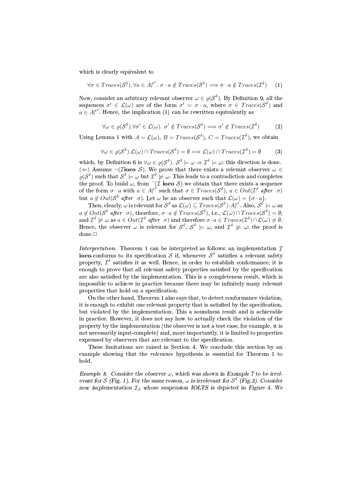which is clearly equivalent to

$$
\forall \sigma \in Traces(\mathcal{S}^{\delta}), \forall a \in A_{!}^{s^{\delta}}. \ \sigma \cdot a \notin Traces(\mathcal{S}^{\delta}) \Longrightarrow \sigma \cdot a \notin Traces(\mathcal{I}^{\delta}) \tag{1}
$$

Now, consider an arbitrary relevant observer  $\omega \in \rho(\mathcal{S}^{\delta})$ . By Definition 9, all the sequences  $\sigma' \in \mathcal{L}(\omega)$  are of the form  $\sigma' = \sigma \cdot a$ , where  $\sigma \in Traces(\mathcal{S}^{\delta})$  and  $a \in A_1^{s\delta}$ . Hence, the implication (1) can be rewritten equivalently as

$$
\forall \omega \in \varrho(\mathcal{S}^{\delta}). \forall \sigma' \in \mathcal{L}(\omega). \; \sigma' \notin Traces(\mathcal{S}^{\delta}) \Longrightarrow \sigma' \notin Traces(\mathcal{I}^{\delta}) \qquad (2)
$$

Using Lemma 1 with  $A = \mathcal{L}(\omega)$ ,  $B = Traces(\mathcal{S}^{\delta})$ ,  $C = Traces(\mathcal{I}^{\delta})$ , we obtain

$$
\forall \omega \in \varrho(\mathcal{S}^{\delta}).\mathcal{L}(\omega) \cap Trace(\mathcal{S}^{\delta}) = \emptyset \Longrightarrow \mathcal{L}(\omega) \cap Trace(\mathcal{I}^{\delta}) = \emptyset \tag{3}
$$

which, by Definition 6 is  $\forall \omega \in \varrho(\mathcal{S}^{\delta})$ .  $\mathcal{S}^{\delta} \models \omega \Rightarrow \mathcal{I}^{\delta} \models \omega$ : this direction is done. (←) Assume  $\neg$ (*Tioco S*). We prove that there exists a relevant observer  $\omega$  ∈  $\phi(S^{\delta})$  such that  $S^{\delta} \models \omega$  but  $\mathcal{I}^{\delta} \not\models \omega$ . This leads to a contradiction and completes the proof. To build  $\omega$ , from  $\neg(\mathcal{I} \text{ is odd})$  we obtain that there exists a sequence of the form  $\sigma \cdot a$  with  $a \in A_1^{\mathcal{S}^\delta}$  such that  $\sigma \in Traces(\mathcal{S}^\delta)$ ,  $a \in Out(\mathcal{I}^\delta \text{ after } \sigma)$ but  $a \notin Out(\mathcal{S}^{\delta}$  after  $\sigma)$ . Let  $\omega$  be an observer such that  $\mathcal{L}(\omega) = {\sigma \cdot a}$ .<br>Then, clearly,  $\omega$  is relevant for  $\mathcal{S}^{\delta}$  as  $\mathcal{L}(\omega) \subseteq Trace(\mathcal{S}^{\delta}) \cdot A_{\delta}^{\mathcal{S}^{\delta}}$ . Also,  $\mathcal{S}^{\delta} \models \omega$  as

 $a \notin Out(\mathcal{S}^{\delta} \text{ after } \sigma)$ , therefore,  $\sigma \cdot a \notin Traces(\mathcal{S}^{\delta})$ , i.e.,  $\mathcal{L}(\omega) \cap Traces(\mathcal{S}^{\delta}) = \emptyset$ ; and  $\mathcal{I}^{\delta} \not\models \omega$  as  $a \in Out(\mathcal{I}^{\delta}$  after  $\sigma)$  and therefore  $\sigma \cdot a \in Trace(\mathcal{I}^{\delta}) \cap \mathcal{L}(\omega) \neq \emptyset$ . Hence, the observer  $\omega$  is relevant for  $S^{\delta}$ ,  $S^{\delta} \models \omega$ , and  $\mathcal{I}^{\delta} \not\models \omega$ : the proof is  $done. \Box$ 

Interpretation. Theorem 1 can be interpreted as follows: an implementation  $\mathcal I$ **ioco-**conforms to its specification S if, whenever  $S^{\delta}$  satisfies a relevant safety property,  $\mathcal{I}^{\delta}$  satisfies it as well. Hence, in order to establish conformance, it is enough to prove that all relevant safety properties satisfied by the specification are also satisfied by the implementation. This is a completeness result, which is impossible to achieve in practice because there may be infinitely many relevant properties that hold on a specification.

On the other hand, Theorem 1 also says that, to detect conformance violation, it is enough to exhibit one relevant property that is satisfied by the specification, but violated by the implementation. This a soundness result and is achievable in practice. However, it does not say how to actually check the violation of the property by the implementation (the observer is not a test case, for example, it is not necessarily input-complete) and, more importantly, it is limited to properties expressed by observers that are relevant to the specification.

These limitations are raised in Section 4. We conclude this section by an example showing that the *relevance* hypothesis is essential for Theorem 1 to hold.

*Example 8.* Consider the observer  $\omega$ , which was shown in Example 7 to be irrelevant for S (Fig. 1). For the same reason,  $\omega$  is irrelevant for  $S^{\delta}$  (Fig. 3). Consider now implementation  $\mathcal{I}_2$  whose suspension IOLTS is depicted in Figure 4. We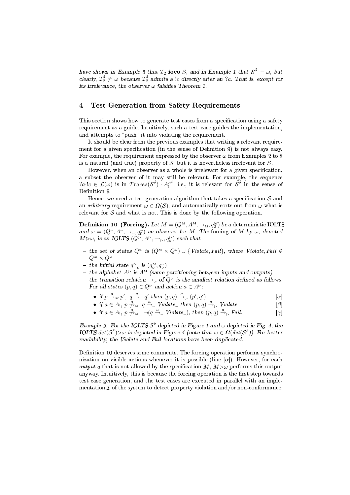have shown in Example 5 that  $\mathcal{I}_2$  ioco S, and in Example 1 that  $\mathcal{S}^{\delta} \models \omega$ , but clearly,  $\mathcal{I}_2^{\delta} \not\models \omega$  because  $\mathcal{I}_2^{\delta}$  admits a lc directly after an  $a$ . That is, except for its irrelevance, the observer  $\omega$  falsifies Theorem 1.

#### $\overline{\mathbf{4}}$ **Test Generation from Safety Requirements**

This section shows how to generate test cases from a specification using a safety requirement as a guide. Intuitively, such a test case guides the implementation, and attempts to "push" it into violating the requirement.

It should be clear from the previous examples that writing a relevant requirement for a given specification (in the sense of Definition 9) is not always easy. For example, the requirement expressed by the observer  $\omega$  from Examples 2 to 8 is a natural (and true) property of S, but it is nevertheless irrelevant for S.

However, when an observer as a whole is irrelevant for a given specification, a subset the observer of it may still be relevant. For example, the sequence  $2a \cdot lc \in \mathcal{L}(\omega)$  is in  $Trace(\mathcal{S}^{\delta}) \cdot A_1^{\mathcal{S}^{\delta}}$ , i.e., it is relevant for  $\mathcal{S}^{\delta}$  in the sense of Definition 9

Hence, we need a test generation algorithm that takes a specification  $S$  and an *arbitrary* requirement  $\omega \in \Omega(S)$ , and automatically sorts out from  $\omega$  what is relevant for  $S$  and what is not. This is done by the following operation.

**Definition 10 (Forcing).** Let  $M = (Q^M, A^M, \rightarrow_M, q_0^M)$  be a deterministic IOLTS and  $\omega = (Q^{\omega}, A^{\omega}, \rightarrow_{\omega}, q_0^{\omega})$  an observer for M. The forcing of M by  $\omega$ , denoted  $M \triangleright \omega$ , is an IOLTS  $(Q^{\triangleright}, A^{\triangleright}, \rightarrow_{\triangleright}, q_o^{\triangleright})$  such that

- the set of states  $Q^{\triangleright}$  is  $(Q^M \times Q^{\omega}) \cup \{ \text{Violate}, \text{Fall} \}$ , where Violate, Fail  $\notin$  $Q^M \times Q^{\omega}$
- the initial state  $q_{o}^{b}$  is  $(q_{o}^{M}, q_{o}^{b})$
- the alphabet  $A^{\triangleright}$  is  $A^M$  (same partitioning between inputs and outputs)
- the transition relation  $\rightarrow_{\sim}$  of  $Q^{\triangleright}$  is the smallest relation defined as follows. For all states  $(p, q) \in Q^{\triangleright}$  and action  $a \in A^{\triangleright}$ :
	- if  $p \xrightarrow{a} p'$ ,  $q \xrightarrow{a} q'$  then  $(p,q) \xrightarrow{a} (p',q')$  $\alpha$
	- if  $a \in A_1$ ,  $p \nightharpoonup_{M_1}^a q \xrightarrow{a}$  Violate<sub>w</sub> then  $(p, q) \xrightarrow{a}$  Violate  $\beta$
	- if  $a \in A_1$ ,  $p \nightharpoonup_M$ ,  $\neg (q \stackrel{a}{\rightarrow}_\omega$  Violate<sub> $\omega$ </sub>), then  $(p, q) \stackrel{a}{\rightarrow}_\sim$  Fail.  $[\gamma]$

*Example 9.* For the IOLTS  $S^{\delta}$  depicted in Figure 1 and  $\omega$  depicted in Fig. 4, the IOLTS  $det(S^{\delta})\rhd\omega$  is depicted in Figure 4 (note that  $\omega \in \Omega(det(S^{\delta}))$ ). For better readability, the Violate and Fail locations have been duplicated.

Definition 10 deserves some comments. The forcing operation performs synchronization on visible actions whenever it is possible (line  $[\alpha]$ ). However, for each *output a* that is not allowed by the specification M,  $M \triangleright \omega$  performs this output anyway. Intuitively, this is because the forcing operation is the first step towards test case generation, and the test cases are executed in parallel with an implementation  $\mathcal I$  of the system to detect property violation and/or non-conformance: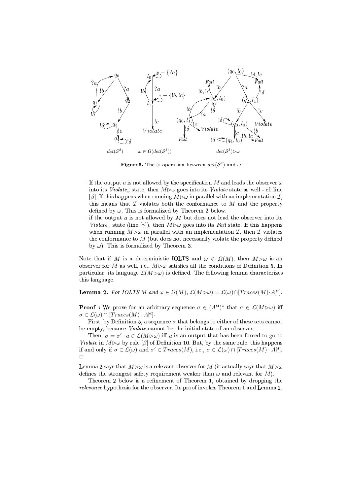

**Figure5.** The  $\triangleright$  operation between  $det(S^{\delta})$  and  $\omega$ 

- If the output a is not allowed by the specification M and leads the observer  $\omega$ into its *Violate*<sub> $\omega$ </sub> state, then  $M \triangleright \omega$  goes into its *Violate* state as well - cf. line [ $\beta$ ]. If this happens when running  $M \triangleright \omega$  in parallel with an implementation  $\mathcal{I}$ , this means that  $\mathcal I$  violates both the conformance to  $M$  and the property defined by  $\omega$ . This is formalized by Theorem 2 below.
- if the output  $a$  is not allowed by  $M$  but does not lead the observer into its Violate<sub>w</sub> state (line [ $\gamma$ ]), then  $M \triangleright \omega$  goes into its Fail state. If this happens when running  $M \triangleright \omega$  in parallel with an implementation *I*, then *I* violates the conformance to  $M$  (but does not necessarily violate the property defined by  $\omega$ ). This is formalized by Theorem 3.

Note that if M is a deterministic IOLTS and  $\omega \in \Omega(M)$ , then  $M \triangleright \omega$  is an observer for M as well, i.e.,  $M \triangleright \omega$  satisfies all the conditions of Definition 5. In particular, its language  $\mathcal{L}(M \triangleright \omega)$  is defined. The following lemma characterizes this language.

**Lemma 2.** For IOLTS M and  $\omega \in \Omega(M)$ ,  $\mathcal{L}(M \triangleright \omega) = \mathcal{L}(\omega) \cap [Trace(M) \cdot A_1^M]$ .

**Proof**: We prove for an arbitrary sequence  $\sigma \in (A^M)^*$  that  $\sigma \in \mathcal{L}(M \triangleright \omega)$  iff  $\sigma \in \mathcal{L}(\omega) \cap [Trace(M) \cdot A_1^M].$ 

First, by Definition 5, a sequence  $\sigma$  that belongs to either of these sets cannot be empty, because *Violate* cannot be the initial state of an observer.

Then,  $\sigma = \sigma' \cdot a \in \mathcal{L}(M \triangleright \omega)$  iff a is an output that has been forced to go to *Violate* in  $M \triangleright \omega$  by rule  $\beta$  of Definition 10. But, by the same rule, this happens if and only if  $\sigma \in \mathcal{L}(\omega)$  and  $\sigma' \in Traces(M)$ , i.e.,  $\sigma \in \mathcal{L}(\omega) \cap [Traces(M) \cdot A_!^M]$ .  $\Box$ 

Lemma 2 says that  $M \triangleright \omega$  is a relevant observer for M (it actually says that  $M \triangleright \omega$ defines the strongest safety requirement weaker than  $\omega$  and relevant for M.

Theorem 2 below is a refinement of Theorem 1, obtained by dropping the *relevance* hypothesis for the observer. Its proof invokes Theorem 1 and Lemma 2.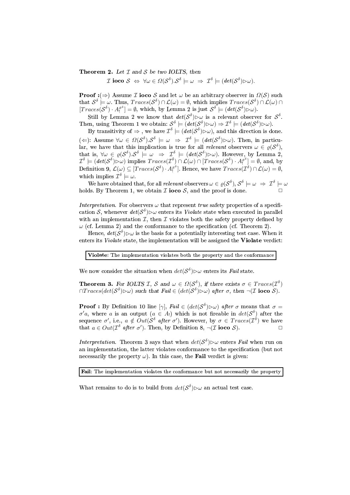**Theorem 2.** Let  $I$  and  $S$  be two IOLTS, then

*I* ioco  $S \Leftrightarrow \forall \omega \in \Omega(\mathcal{S}^{\delta}).\mathcal{S}^{\delta} \models \omega \Rightarrow \mathcal{I}^{\delta} \models (det(\mathcal{S}^{\delta}) \rhd \omega).$ 

**Proof**:  $(\Rightarrow)$  Assume *I* ioco *S* and let  $\omega$  be an arbitrary observer in  $\Omega(S)$  such that  $S^{\delta} \models \omega$ . Thus,  $Trace(S^{\delta}) \cap \mathcal{L}(\omega) = \emptyset$ , which implies  $Trace(S^{\delta}) \cap \mathcal{L}(\omega) \cap [Trace(S^{\delta}) \cdot A^{\delta}] = \emptyset$ , which, by Lemma 2 is just  $S^{\delta} \models (det(S^{\delta}) \triangleright \omega)$ .

Still by Lemma 2 we know that  $det(S^{\delta}) \rhd \omega$  is a relevant observer for  $S^{\delta}$ .<br>Then, using Theorem 1 we obtain:  $S^{\delta} \models (det(S^{\delta}) \rhd \omega) \Rightarrow \mathcal{I}^{\delta} \models (det(S^{\delta}) \rhd \omega)$ .<br>By transitivity of  $\Rightarrow$ , we have  $\mathcal{I}^{\delta} \models (det(S^{\delta}) \rhd \$ 

 $(\Leftarrow)$ : Assume  $\forall \omega \in \Omega(\mathcal{S}^{\delta}).\mathcal{S}^{\delta} \models \omega \Rightarrow \mathcal{I}^{\delta} \models (det(\mathcal{S}^{\delta})\triangleright \omega)$ . Then, in particular, we have that this implication is true for all *relevant* observers  $\omega \in \rho(\mathcal{S}^{\delta})$ , that is,  $\forall \omega \in \varrho(\mathcal{S}^{\delta}) \cdot \mathcal{S}^{\delta} \models \omega \Rightarrow \mathcal{I}^{\delta} \models (det(\mathcal{S}^{\delta}) \rhd \omega)$ . However, by Lemma 2,<br>  $\mathcal{I}^{\delta} \models (det(\mathcal{S}^{\delta}) \rhd \omega)$  implies  $Trace(\mathcal{I}^{\delta}) \cap \mathcal{L}(\omega) \cap [Trace(\mathcal{S}^{\delta}) \cdot A_{1}^{\mathcal{S}^{\delta}}] = \emptyset$ , and, by Definition 9,  $\mathcal{L}(\omega) \subseteq [Trace(\mathcal{S}^{\delta}) \cdot A_{1}^{\mathcal{S}^{\delta}}]$ . Hence, we have  $Trace(\mathcal{I}^{\delta}) \cap \mathcal{L}(\omega) = \emptyset$ , which implies  $\mathcal{I}^{\delta} \models \omega$ .

We have obtained that, for all relevant observers  $\omega \in \varrho(\mathcal{S}^{\delta}), \mathcal{S}^{\delta} \models \omega \Rightarrow \mathcal{I}^{\delta} \models \omega$ holds. By Theorem 1, we obtain  $\mathcal I$  ioco  $\mathcal S$ , and the proof is done.

*Interpretation.* For observers  $\omega$  that represent *true* safety properties of a specification S, whenever  $det(S^{\delta})\rhd\omega$  enters its Violate state when executed in parallel with an implementation  $\mathcal I$ , then  $\mathcal I$  violates both the safety property defined by  $\omega$  (cf. Lemma 2) and the conformance to the specification (cf. Theorem 2).

Hence,  $det(S^{\delta})\rhd\omega$  is the basis for a potentially interesting test case. When it enters its Violate state, the implementation will be assigned the Violate verdict:

Violate: The implementation violates both the property and the conformance

We now consider the situation when  $det(S^{\delta})\rhd\omega$  enters its *Fail* state.

**Theorem 3.** For IOLTS  $\mathcal{I}, \mathcal{S}$  and  $\omega \in \Omega(\mathcal{S}^{\delta})$ , if there exists  $\sigma \in Trace(\mathcal{I}^{\delta})$  $\cap Trace(det(S^{\delta})\rhd\omega)$  such that  $Fail \in (det(S^{\delta})\rhd\omega)$  after  $\sigma$ , then  $\neg(\mathcal{I} \text{ ioco } \mathcal{S})$ .

**Proof**: By Definition 10 line  $[\gamma]$ , Fail  $\in (det(S^{\delta})\triangleright\omega)$  after  $\sigma$  means that  $\sigma =$  $\sigma'$ a, where a is an output  $(a \in A_1)$  which is not fireable in  $det(S^{\delta})$  after the<br>sequence  $\sigma'$ , i.e.,  $a \notin Out(S^{\delta}$  after  $\sigma'$ ). However, by  $\sigma \in Trace(\mathcal{I}^{\delta})$  we have that  $a \in Out(\mathcal{I}^{\delta}$  after  $\sigma'$ ). Then, by Definition 8,  $\neg(\mathcal{I} \text{ isom } \mathcal{S})$ .  $\Box$ 

Interpretation. Theorem 3 says that when  $det(S^{\delta})\rhd\omega$  enters Fail when run on an implementation, the latter violates conformance to the specification (but not necessarily the property  $\omega$ ). In this case, the **Fail** verdict is given:

Fail: The implementation violates the conformance but not necessarily the property

What remains to do is to build from  $det(S^{\delta})\rhd\omega$  an actual test case.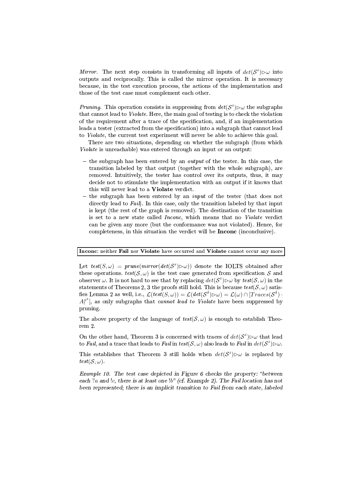Mirror. The next step consists in transforming all inputs of  $det(S^{\delta})\rhd\omega$  into outputs and reciprocally. This is called the mirror operation. It is necessary because, in the test execution process, the actions of the implementation and those of the test case must complement each other.

*Pruning.* This operation consists in suppressing from  $det(S^{\delta})\rhd\omega$  the subgraphs that cannot lead to *Violate*. Here, the main goal of testing is to check the violation of the requirement after a trace of the specification, and, if an implementation leads a tester (extracted from the specification) into a subgraph that cannot lead to *Violate*, the current test experiment will never be able to achieve this goal.

There are two situations, depending on whether the subgraph (from which *Violate* is unreachable) was entered through an input or an output:

- the subgraph has been entered by an *output* of the tester. In this case, the transition labeled by that output (together with the whole subgraph), are removed. Intuitively, the tester has control over its outputs, thus, it may decide not to stimulate the implementation with an output if it knows that this will never lead to a Violate verdict.
- the subgraph has been entered by an *input* of the tester (that does not directly lead to  $Fail$ ). In this case, only the transition labeled by that input is kept (the rest of the graph is removed). The destination of the transition is set to a new state called *Inconc*, which means that no *Violate* verdict can be given any more (but the conformance was not violated). Hence, for completeness, in this situation the verdict will be Inconc (inconclusive).

Inconc: neither Fail nor Violate have occurred and Violate cannot occur any more

Let  $test(S, \omega) = prune(mirror(det(S^s) \triangleright \omega))$  denote the IOLTS obtained after these operations.  $test(S, \omega)$  is the test case generated from specification S and observer  $\omega$ . It is not hard to see that by replacing  $det(S^{\delta})\triangleright\omega$  by  $test(S, \omega)$  in the statements of Theorems 2, 3 the proofs still hold. This is because  $test(S, \omega)$  satisfies Lemma 2 as well, i.e.,  $\mathcal{L}(test(S, \omega)) = \mathcal{L}(det(\mathcal{S}^{\delta}) \triangleright \omega) = \mathcal{L}(\omega) \cap [Trace(\mathcal{S}^{\delta})]$ .  $A_1^{\delta}$ , as only subgraphs that *cannot lead to Violate* have been suppressed by pruning.

The above property of the language of  $test(S, \omega)$  is enough to establish Theo $rem<sub>2</sub>$ 

On the other hand, Theorem 3 is concerned with traces of  $det(S^{\delta})\rhd\omega$  that lead to Fail, and a trace that leads to Fail in test( $S, \omega$ ) also leads to Fail in  $det(S^{\delta}) \rhd \omega$ .

This establishes that Theorem 3 still holds when  $det(S^{\delta})\rhd\omega$  is replaced by  $test(S, \omega).$ 

*Example 10.* The test case depicted in Figure 6 checks the property: "between each ?a and !c, there is at least one !b" (cf. Example 2). The Fail location has not been represented; there is an implicit transition to Fail from each state, labeled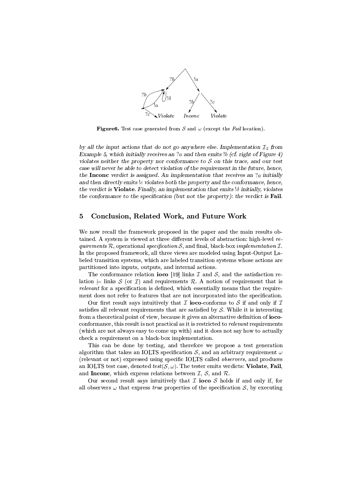

**Figure6.** Test case generated from S and  $\omega$  (except the Fail location).

by all the input actions that do not go anywhere else. Implementation  $\mathcal{I}_2$  from Example 5, which initially receives an  $a$  and then emits  $b$  (cf. right of Figure 4) violates neither the property nor conformance to  $S$  on this trace, and our test case will never be able to detect violation of the requirement in the future, hence. the Inconc verdict is assigned. An implementation that receives an  $a$  initially and then directly emits !c violates both the property and the conformance, hence, the verdict is Violate. Finally, an implementation that emits  $\delta$  initially, violates the conformance to the specification (but not the property): the verdict is Fail.

#### $\overline{5}$ Conclusion, Related Work, and Future Work

We now recall the framework proposed in the paper and the main results obtained. A system is viewed at three different levels of abstraction: high-level requirements  $R$ , operational specification  $S$ , and final, black-box implementation  $I$ . In the proposed framework, all three views are modeled using Input-Output Labeled transition systems, which are labeled transition systems whose actions are partitioned into inputs, outputs, and internal actions.

The conformance relation **ioco** [19] links  $\mathcal I$  and  $\mathcal S$ , and the satisfaction relation  $\models$  links S (or T) and requirements R. A notion of requirement that is *relevant* for a specification is defined, which essentially means that the requirement does not refer to features that are not incorporated into the specification.

Our first result says intuitively that T ioco-conforms to S if and only if T satisfies all relevant requirements that are satisfied by  $S$ . While it is interesting from a theoretical point of view, because it gives an alternative definition of **ioco**conformance, this result is not practical as it is restricted to relevant requirements (which are not always easy to come up with) and it does not say how to actually check a requirement on a black-box implementation.

This can be done by testing, and therefore we propose a test generation algorithm that takes an IOLTS specification  $S$ , and an arbitrary requirement  $\omega$ (relevant or not) expressed using specific IQLTS called *observers*, and produces an IOLTS test case, denoted  $test(S, \omega)$ . The tester emits verdicts: Violate, Fail, and **Incone**, which express relations between  $\mathcal{I}, \mathcal{S},$  and  $\mathcal{R}$ .

Our second result says intuitively that  $\mathcal I$  is order S holds if and only if, for all observers  $\omega$  that express true properties of the specification S, by executing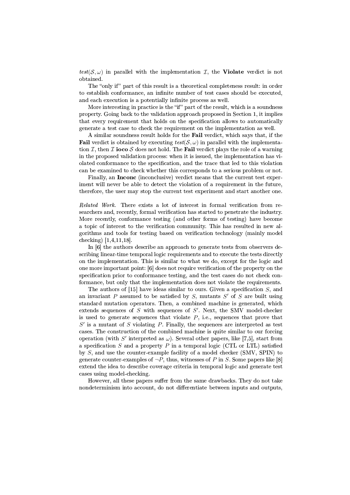$test(S, \omega)$  in parallel with the implementation T, the **Violate** verdict is not obtained.

The "only if" part of this result is a theoretical completeness result: in order to establish conformance, an infinite number of test cases should be executed, and each execution is a potentially infinite process as well.

More interesting in practice is the "if" part of the result, which is a soundness property. Going back to the validation approach proposed in Section 1, it implies that every requirement that holds on the specification allows to automatically generate a test case to check the requirement on the implementation as well.

A similar soundness result holds for the Fail verdict, which says that, if the **Fail** verdict is obtained by executing  $test(S, \omega)$  in parallel with the implementation I, then I is consider to both a The Fail vertict plays the role of a warning in the proposed validation process: when it is issued, the implementation has violated conformance to the specification, and the trace that led to this violation can be examined to check whether this corresponds to a serious problem or not.

Finally, an **Inconc** (inconclusive) verdict means that the current test experiment will never be able to detect the violation of a requirement in the future, therefore, the user may stop the current test experiment and start another one.

Related Work. There exists a lot of interest in formal verification from researchers and, recently, formal verification has started to penetrate the industry. More recently, conformance testing (and other forms of testing) have become a topic of interest to the verification community. This has resulted in new algorithms and tools for testing based on verification technology (mainly model checking)  $[1,4,11,18]$ .

In [6] the authors describe an approach to generate tests from observers describing linear-time temporal logic requirements and to execute the tests directly on the implementation. This is similar to what we do, except for the logic and one more important point: [6] does not require verification of the property on the specification prior to conformance testing, and the test cases do not check conformance, but only that the implementation does not violate the requirements.

The authors of [15] have ideas similar to ours. Given a specification  $S$ , and an invariant  $P$  assumed to be satisfied by  $S$ , mutants  $S'$  of  $S$  are built using standard mutation operators. Then, a combined machine is generated, which extends sequences of  $S$  with sequences of  $S'$ . Next, the SMV model-checker is used to generate sequences that violate  $P$ , i.e., sequences that prove that  $S'$  is a mutant of S violating P. Finally, the sequences are interpreted as test cases. The construction of the combined machine is quite similar to our forcing operation (with S' interpreted as  $\omega$ ). Several other papers, like [7,5], start from a specification S and a property P in a temporal logic (CTL or LTL) satisfied by  $S$ , and use the counter-example facility of a model checker (SMV, SPIN) to generate counter-examples of  $\neg P$ , thus, witnesses of P in S. Some papers like [8] extend the idea to describe coverage criteria in temporal logic and generate test cases using model-checking.

However, all these papers suffer from the same drawbacks. They do not take nondeterminism into account, do not differentiate between inputs and outputs,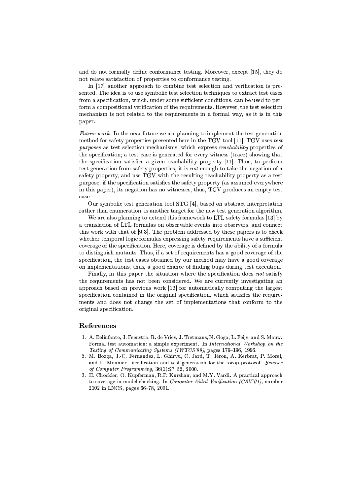and do not formally define conformance testing. Moreover, except [15], they do not relate satisfaction of properties to conformance testing.

In [17] another approach to combine test selection and verification is presented. The idea is to use symbolic test selection techniques to extract test cases from a specification, which, under some sufficient conditions, can be used to perform a compositional verification of the requirements. However, the test selection mechanism is not related to the requirements in a formal way, as it is in this paper.

*Future work*. In the near future we are planning to implement the test generation method for safety properties presented here in the TGV tool [11]. TGV uses test *purposes* as test selection mechanisms, which express *reachability* properties of the specification; a test case is generated for every witness (trace) showing that the specification satisfies a given reachability property [11]. Thus, to perform test generation from safety properties, it is not enough to take the negation of a safety property, and use TGV with the resulting reachability property as a test purpose: if the specification satisfies the safety property (as assumed everywhere in this paper), its negation has no witnesses, thus, TGV produces an empty test case.

Our symbolic test generation tool STG [4], based on abstract interpretation rather than enumeration, is another target for the new test generation algorithm.

We are also planning to extend this framework to LTL safety formulas [13] by a translation of LTL formulas on observable events into observers, and connect this work with that of  $[9,3]$ . The problem addressed by these papers is to check whether temporal logic formulas expressing safety requirements have a sufficient coverage of the specification. Here, coverage is defined by the ability of a formula to distinguish mutants. Thus, if a set of requirements has a good coverage of the specification, the test cases obtained by our method may have a good coverage on implementations, thus, a good chance of finding bugs during test execution.

Finally, in this paper the situation where the specification does not satisfy the requirements has not been considered. We are currently investigating an approach based on previous work  $[12]$  for automatically computing the largest specification contained in the original specification, which satisfies the requirements and does not change the set of implementations that conform to the original specification.

### References

- 1. A. Belinfante, J. Feenstra, R. de Vries, J. Tretmans, N. Goga, L. Feijs, and S. Mauw. Formal test automation: a simple experiment. In International Workshop on the Testing of Communicating Systems (IWTCS'99), pages 179-196, 1996.
- 2. M. Bozga, J.-C. Fernandez, L. Ghirvu, C. Jard, T. Jéron, A. Kerbrat, P. Morel, and L. Mounier. Verification and test generation for the sscop protocol. Science of Computer Programming, 36(1):27-52, 2000.
- 3. H. Chockler, O. Kupferman, R.P. Kurshan, and M.Y. Vardi. A practical approach to coverage in model checking. In Computer-Aided Verification (CAV'01), number 2102 in LNCS, pages 66-78, 2001.